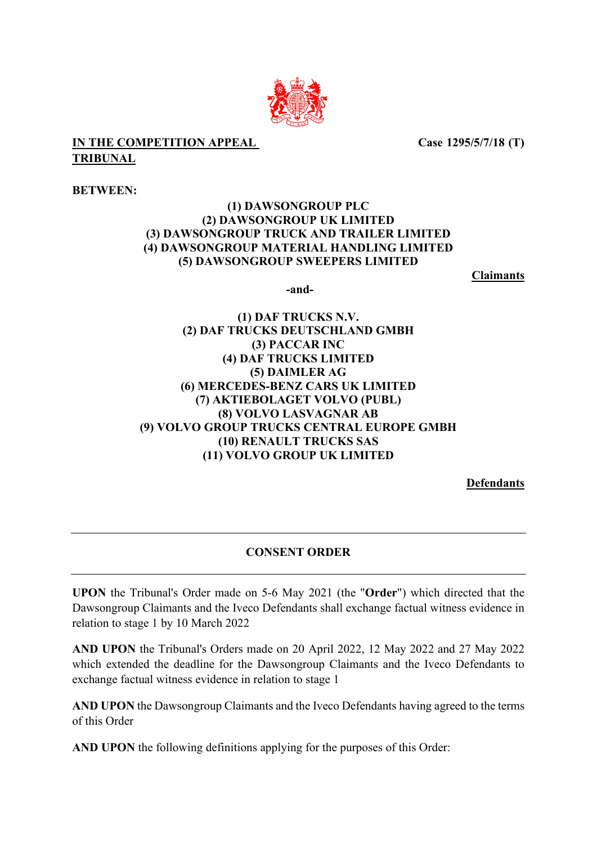

## **IN THE COMPETITION APPEAL TRIBUNAL**

 **Case 1295/5/7/18 (T)**

**BETWEEN:**

## **(1) DAWSONGROUP PLC (2) DAWSONGROUP UK LIMITED (3) DAWSONGROUP TRUCK AND TRAILER LIMITED (4) DAWSONGROUP MATERIAL HANDLING LIMITED (5) DAWSONGROUP SWEEPERS LIMITED**

**Claimants** 

**-and-**

**(1) DAF TRUCKS N.V. (2) DAF TRUCKS DEUTSCHLAND GMBH (3) PACCAR INC (4) DAF TRUCKS LIMITED (5) DAIMLER AG (6) MERCEDES-BENZ CARS UK LIMITED (7) AKTIEBOLAGET VOLVO (PUBL) (8) VOLVO LASVAGNAR AB (9) VOLVO GROUP TRUCKS CENTRAL EUROPE GMBH (10) RENAULT TRUCKS SAS (11) VOLVO GROUP UK LIMITED**

**Defendants**

## **CONSENT ORDER**

**UPON** the Tribunal's Order made on 5-6 May 2021 (the "**Order**") which directed that the Dawsongroup Claimants and the Iveco Defendants shall exchange factual witness evidence in relation to stage 1 by 10 March 2022

**AND UPON** the Tribunal's Orders made on 20 April 2022, 12 May 2022 and 27 May 2022 which extended the deadline for the Dawsongroup Claimants and the Iveco Defendants to exchange factual witness evidence in relation to stage 1

**AND UPON** the Dawsongroup Claimants and the Iveco Defendants having agreed to the terms of this Order

**AND UPON** the following definitions applying for the purposes of this Order: